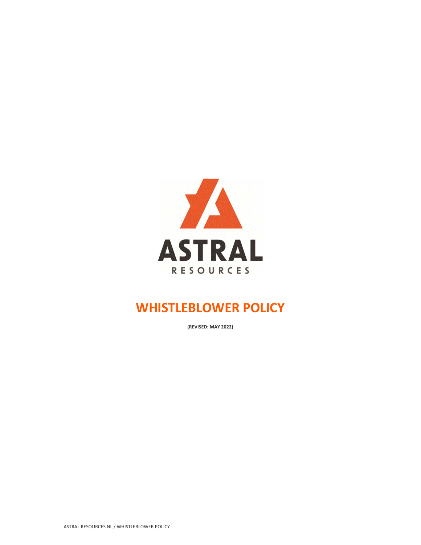

# **WHISTLEBLOWER POLICY**

**(REVISED: MAY 2022)**

ASTRAL RESOURCES NL / WHISTLEBLOWER POLICY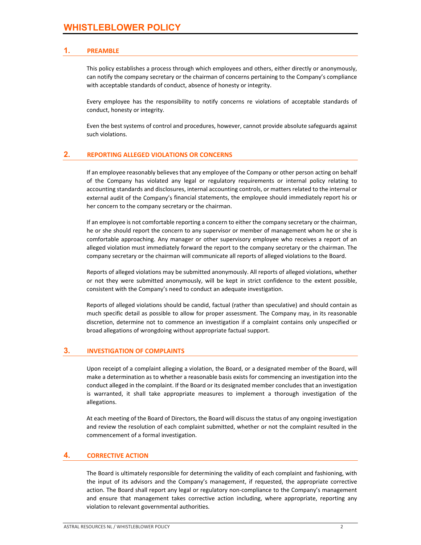# **1. PREAMBLE**

This policy establishes a process through which employees and others, either directly or anonymously, can notify the company secretary or the chairman of concerns pertaining to the Company's compliance with acceptable standards of conduct, absence of honesty or integrity.

Every employee has the responsibility to notify concerns re violations of acceptable standards of conduct, honesty or integrity.

Even the best systems of control and procedures, however, cannot provide absolute safeguards against such violations.

# **2. REPORTING ALLEGED VIOLATIONS OR CONCERNS**

If an employee reasonably believes that any employee of the Company or other person acting on behalf of the Company has violated any legal or regulatory requirements or internal policy relating to accounting standards and disclosures, internal accounting controls, or matters related to the internal or external audit of the Company's financial statements, the employee should immediately report his or her concern to the company secretary or the chairman.

If an employee is not comfortable reporting a concern to either the company secretary or the chairman, he or she should report the concern to any supervisor or member of management whom he or she is comfortable approaching. Any manager or other supervisory employee who receives a report of an alleged violation must immediately forward the report to the company secretary or the chairman. The company secretary or the chairman will communicate all reports of alleged violations to the Board.

Reports of alleged violations may be submitted anonymously. All reports of alleged violations, whether or not they were submitted anonymously, will be kept in strict confidence to the extent possible, consistent with the Company's need to conduct an adequate investigation.

Reports of alleged violations should be candid, factual (rather than speculative) and should contain as much specific detail as possible to allow for proper assessment. The Company may, in its reasonable discretion, determine not to commence an investigation if a complaint contains only unspecified or broad allegations of wrongdoing without appropriate factual support.

#### **3. INVESTIGATION OF COMPLAINTS**

Upon receipt of a complaint alleging a violation, the Board, or a designated member of the Board, will make a determination as to whether a reasonable basis exists for commencing an investigation into the conduct alleged in the complaint. If the Board or its designated member concludes that an investigation is warranted, it shall take appropriate measures to implement a thorough investigation of the allegations.

At each meeting of the Board of Directors, the Board will discuss the status of any ongoing investigation and review the resolution of each complaint submitted, whether or not the complaint resulted in the commencement of a formal investigation.

#### **4. CORRECTIVE ACTION**

The Board is ultimately responsible for determining the validity of each complaint and fashioning, with the input of its advisors and the Company's management, if requested, the appropriate corrective action. The Board shall report any legal or regulatory non‐compliance to the Company's management and ensure that management takes corrective action including, where appropriate, reporting any violation to relevant governmental authorities.